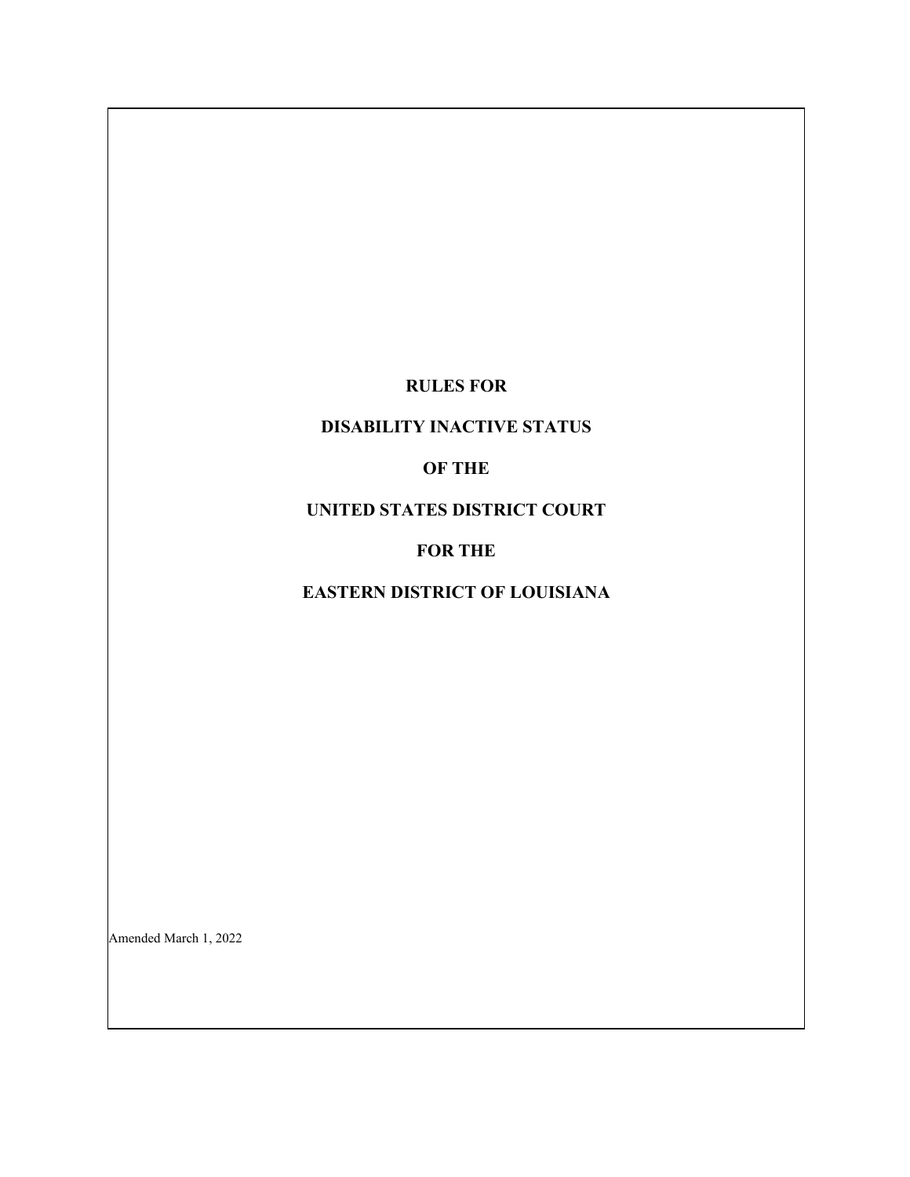## **RULES FOR**

## **DISABILITY INACTIVE STATUS**

## **OF THE**

## **UNITED STATES DISTRICT COURT**

## **FOR THE**

# **EASTERN DISTRICT OF LOUISIANA**

Amended March 1, 2022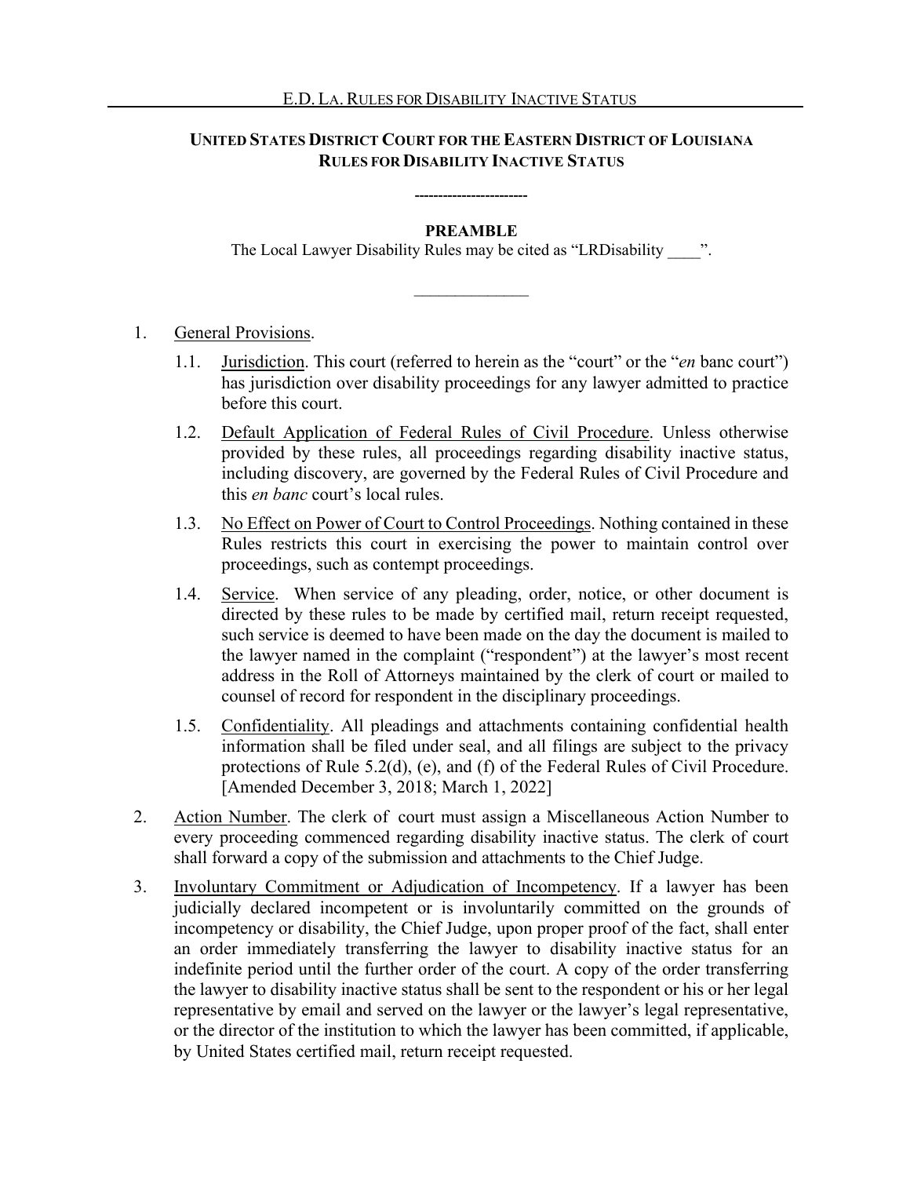### **UNITED STATES DISTRICT COURT FOR THE EASTERN DISTRICT OF LOUISIANA RULES FOR DISABILITY INACTIVE STATUS**

#### **PREAMBLE**

**------------------------**

The Local Lawyer Disability Rules may be cited as "LRDisability ".

 $\frac{1}{2}$ 

#### 1. General Provisions.

- 1.1. Jurisdiction. This court (referred to herein as the "court" or the "*en* banc court") has jurisdiction over disability proceedings for any lawyer admitted to practice before this court.
- 1.2. Default Application of Federal Rules of Civil Procedure. Unless otherwise provided by these rules, all proceedings regarding disability inactive status, including discovery, are governed by the Federal Rules of Civil Procedure and this *en banc* court's local rules.
- 1.3. No Effect on Power of Court to Control Proceedings. Nothing contained in these Rules restricts this court in exercising the power to maintain control over proceedings, such as contempt proceedings.
- 1.4. Service. When service of any pleading, order, notice, or other document is directed by these rules to be made by certified mail, return receipt requested, such service is deemed to have been made on the day the document is mailed to the lawyer named in the complaint ("respondent") at the lawyer's most recent address in the Roll of Attorneys maintained by the clerk of court or mailed to counsel of record for respondent in the disciplinary proceedings.
- 1.5. Confidentiality. All pleadings and attachments containing confidential health information shall be filed under seal, and all filings are subject to the privacy protections of Rule 5.2(d), (e), and (f) of the Federal Rules of Civil Procedure. [Amended December 3, 2018; March 1, 2022]
- 2. Action Number. The clerk of court must assign a Miscellaneous Action Number to every proceeding commenced regarding disability inactive status. The clerk of court shall forward a copy of the submission and attachments to the Chief Judge.
- 3. Involuntary Commitment or Adjudication of Incompetency. If a lawyer has been judicially declared incompetent or is involuntarily committed on the grounds of incompetency or disability, the Chief Judge, upon proper proof of the fact, shall enter an order immediately transferring the lawyer to disability inactive status for an indefinite period until the further order of the court. A copy of the order transferring the lawyer to disability inactive status shall be sent to the respondent or his or her legal representative by email and served on the lawyer or the lawyer's legal representative, or the director of the institution to which the lawyer has been committed, if applicable, by United States certified mail, return receipt requested.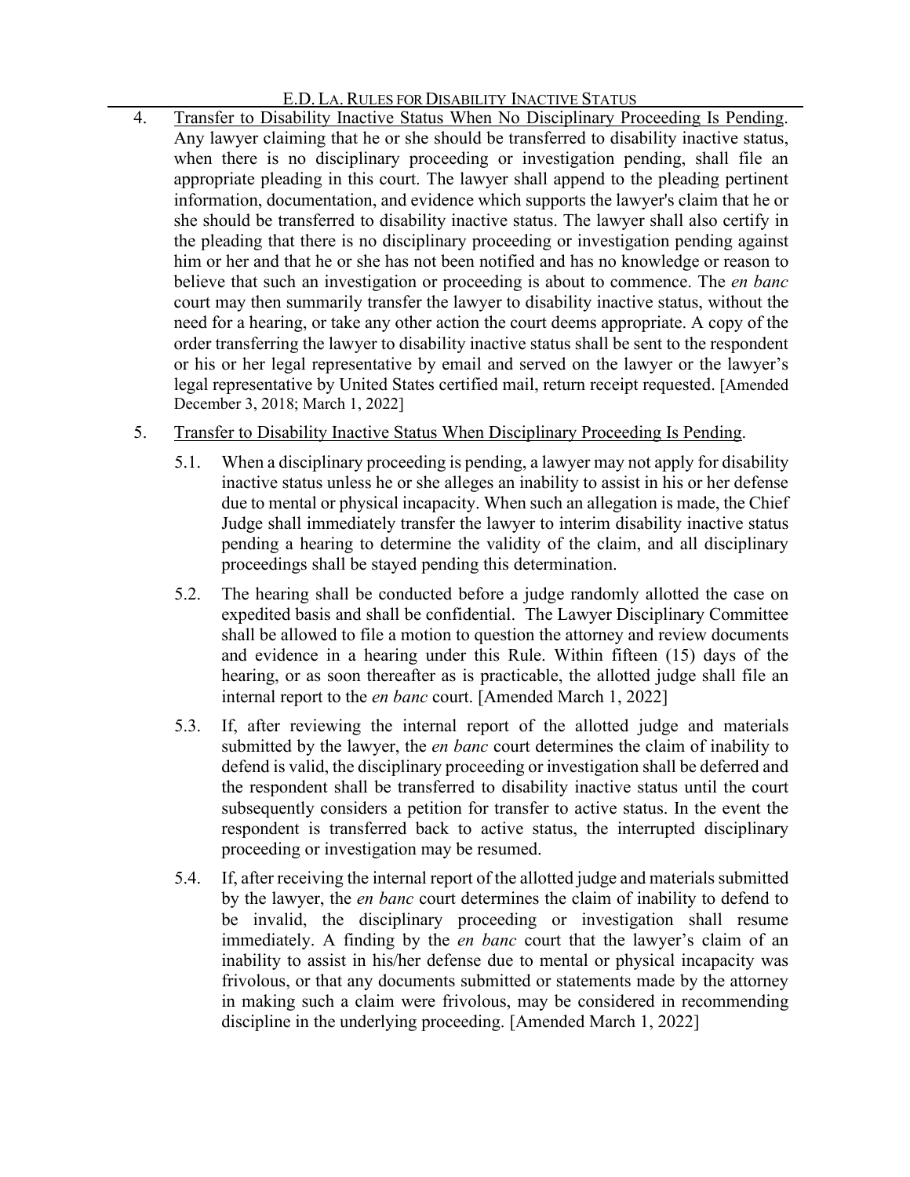## E.D. LA. RULES FOR DISABILITY INACTIVE STATUS

- 4. Transfer to Disability Inactive Status When No Disciplinary Proceeding Is Pending. Any lawyer claiming that he or she should be transferred to disability inactive status, when there is no disciplinary proceeding or investigation pending, shall file an appropriate pleading in this court. The lawyer shall append to the pleading pertinent information, documentation, and evidence which supports the lawyer's claim that he or she should be transferred to disability inactive status. The lawyer shall also certify in the pleading that there is no disciplinary proceeding or investigation pending against him or her and that he or she has not been notified and has no knowledge or reason to believe that such an investigation or proceeding is about to commence. The *en banc* court may then summarily transfer the lawyer to disability inactive status, without the need for a hearing, or take any other action the court deems appropriate. A copy of the order transferring the lawyer to disability inactive status shall be sent to the respondent or his or her legal representative by email and served on the lawyer or the lawyer's legal representative by United States certified mail, return receipt requested. [Amended December 3, 2018; March 1, 2022]
- 5. Transfer to Disability Inactive Status When Disciplinary Proceeding Is Pending.
	- 5.1. When a disciplinary proceeding is pending, a lawyer may not apply for disability inactive status unless he or she alleges an inability to assist in his or her defense due to mental or physical incapacity. When such an allegation is made, the Chief Judge shall immediately transfer the lawyer to interim disability inactive status pending a hearing to determine the validity of the claim, and all disciplinary proceedings shall be stayed pending this determination.
	- 5.2. The hearing shall be conducted before a judge randomly allotted the case on expedited basis and shall be confidential. The Lawyer Disciplinary Committee shall be allowed to file a motion to question the attorney and review documents and evidence in a hearing under this Rule. Within fifteen (15) days of the hearing, or as soon thereafter as is practicable, the allotted judge shall file an internal report to the *en banc* court. [Amended March 1, 2022]
	- 5.3. If, after reviewing the internal report of the allotted judge and materials submitted by the lawyer, the *en banc* court determines the claim of inability to defend is valid, the disciplinary proceeding or investigation shall be deferred and the respondent shall be transferred to disability inactive status until the court subsequently considers a petition for transfer to active status. In the event the respondent is transferred back to active status, the interrupted disciplinary proceeding or investigation may be resumed.
	- 5.4. If, after receiving the internal report of the allotted judge and materials submitted by the lawyer, the *en banc* court determines the claim of inability to defend to be invalid, the disciplinary proceeding or investigation shall resume immediately. A finding by the *en banc* court that the lawyer's claim of an inability to assist in his/her defense due to mental or physical incapacity was frivolous, or that any documents submitted or statements made by the attorney in making such a claim were frivolous, may be considered in recommending discipline in the underlying proceeding. [Amended March 1, 2022]